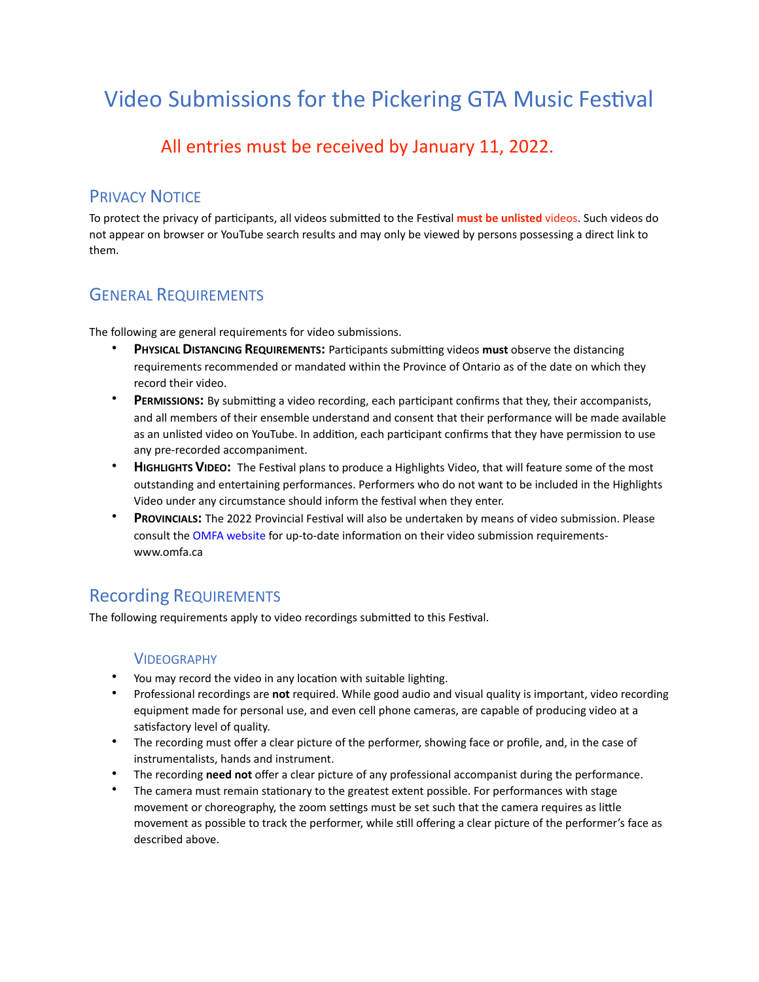# Video Submissions for the Pickering GTA Music Festival

# All entries must be received by January 11, 2022.

### PRIVACY NOTICE

To protect the privacy of participants, all videos submitted to the Festival **must be unlisted** videos. Such videos do not appear on browser or YouTube search results and may only be viewed by persons possessing a direct link to them.

# GENERAL REQUIREMENTS

The following are general requirements for video submissions.

- **PHYSICAL DISTANCING REQUIREMENTS:** Participants submitting videos **must** observe the distancing requirements recommended or mandated within the Province of Ontario as of the date on which they record their video.
- **PERMISSIONS:** By submitting a video recording, each participant confirms that they, their accompanists, and all members of their ensemble understand and consent that their performance will be made available as an unlisted video on YouTube. In addition, each participant confirms that they have permission to use any pre-recorded accompaniment.
- **HIGHLIGHTS VIDEO:** The Festival plans to produce a Highlights Video, that will feature some of the most outstanding and entertaining performances. Performers who do not want to be included in the Highlights Video under any circumstance should inform the festival when they enter.
- **PROVINCIALS:** The 2022 Provincial Festival will also be undertaken by means of video submission. Please consult the OMFA website for up-to-date information on their video submission requirementswww.omfa.ca

# Recording REQUIREMENTS

The following requirements apply to video recordings submitted to this Festival.

#### VIDEOGRAPHY

- You may record the video in any location with suitable lighting.
- Professional recordings are **not** required. While good audio and visual quality is important, video recording equipment made for personal use, and even cell phone cameras, are capable of producing video at a satisfactory level of quality.
- The recording must offer a clear picture of the performer, showing face or profile, and, in the case of instrumentalists, hands and instrument.
- The recording **need not** offer a clear picture of any professional accompanist during the performance.
- The camera must remain stationary to the greatest extent possible. For performances with stage movement or choreography, the zoom settings must be set such that the camera requires as little movement as possible to track the performer, while still offering a clear picture of the performer's face as described above.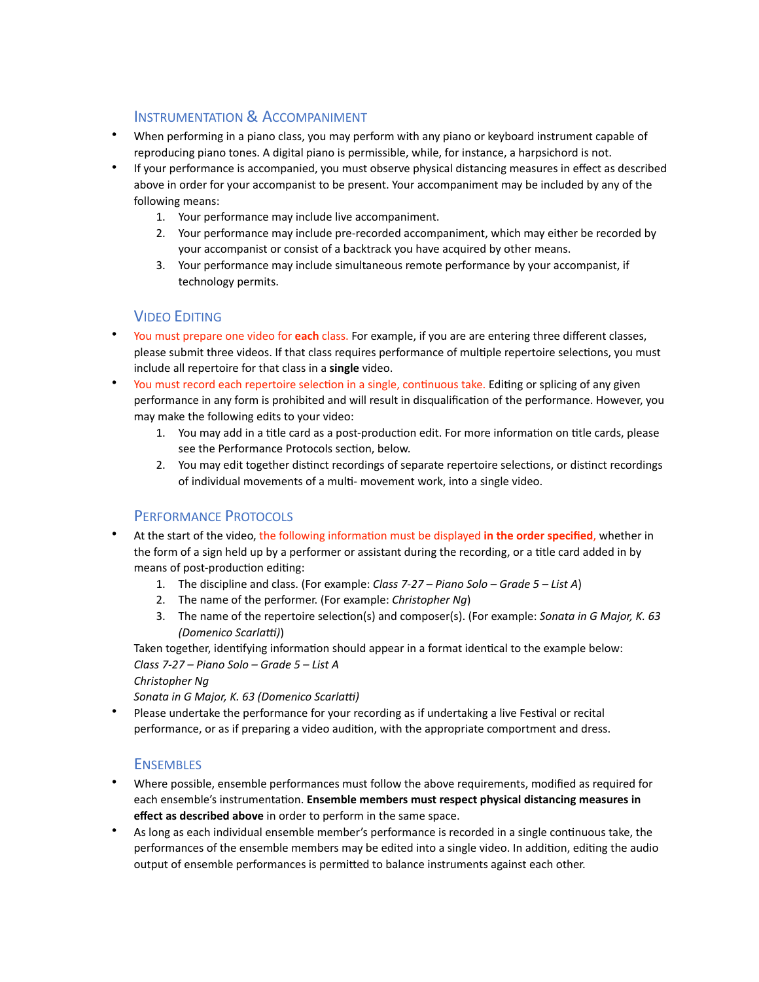#### INSTRUMENTATION & ACCOMPANIMENT

- When performing in a piano class, you may perform with any piano or keyboard instrument capable of reproducing piano tones. A digital piano is permissible, while, for instance, a harpsichord is not.
- If your performance is accompanied, you must observe physical distancing measures in effect as described above in order for your accompanist to be present. Your accompaniment may be included by any of the following means:
	- 1. Your performance may include live accompaniment.
	- 2. Your performance may include pre-recorded accompaniment, which may either be recorded by your accompanist or consist of a backtrack you have acquired by other means.
	- 3. Your performance may include simultaneous remote performance by your accompanist, if technology permits.

#### VIDEO EDITING

- You must prepare one video for **each** class. For example, if you are are entering three different classes, please submit three videos. If that class requires performance of multiple repertoire selections, you must include all repertoire for that class in a **single** video.
- You must record each repertoire selection in a single, continuous take. Editing or splicing of any given performance in any form is prohibited and will result in disqualification of the performance. However, you may make the following edits to your video:
	- 1. You may add in a title card as a post-production edit. For more information on title cards, please see the Performance Protocols section, below.
	- 2. You may edit together distinct recordings of separate repertoire selections, or distinct recordings of individual movements of a multi- movement work, into a single video.

#### PERFORMANCE PROTOCOLS

- At the start of the video, the following information must be displayed **in the order specified**, whether in the form of a sign held up by a performer or assistant during the recording, or a title card added in by means of post-production editing:
	- 1. The discipline and class. (For example: *Class 7-27 Piano Solo Grade 5 List A*)
	- 2. The name of the performer. (For example: *Christopher Ng*)
	- 3. The name of the repertoire selection(s) and composer(s). (For example: *Sonata in G Major, K. 63 (Domenico Scarlatti)*)

Taken together, identifying information should appear in a format identical to the example below: *Class 7-27 – Piano Solo – Grade 5 – List A*

*Christopher Ng*

*Sonata in G Major, K. 63 (Domenico Scarlatti)* 

• Please undertake the performance for your recording as if undertaking a live Festival or recital performance, or as if preparing a video audition, with the appropriate comportment and dress.

#### **ENSEMBLES**

- Where possible, ensemble performances must follow the above requirements, modified as required for each ensemble's instrumentation. **Ensemble members must respect physical distancing measures in effect as described above** in order to perform in the same space.
- As long as each individual ensemble member's performance is recorded in a single continuous take, the performances of the ensemble members may be edited into a single video. In addition, editing the audio output of ensemble performances is permitted to balance instruments against each other.